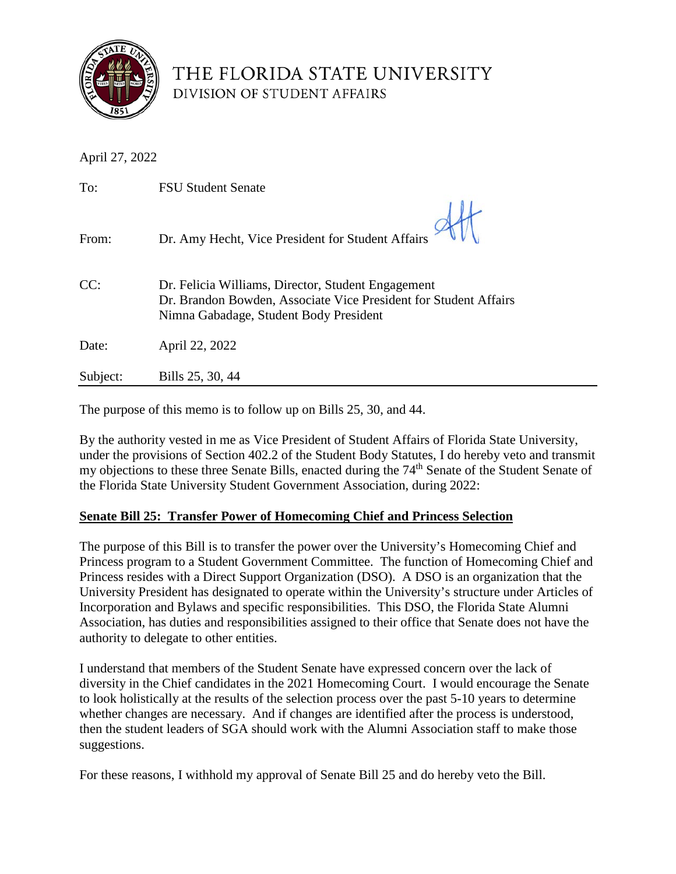

## THE FLORIDA STATE UNIVERSITY DIVISION OF STUDENT AFFAIRS

| April 27, 2022 |                                                                                                                                                                  |
|----------------|------------------------------------------------------------------------------------------------------------------------------------------------------------------|
| To:            | <b>FSU Student Senate</b>                                                                                                                                        |
| From:          | Dr. Amy Hecht, Vice President for Student Affairs                                                                                                                |
| CC:            | Dr. Felicia Williams, Director, Student Engagement<br>Dr. Brandon Bowden, Associate Vice President for Student Affairs<br>Nimna Gabadage, Student Body President |
| Date:          | April 22, 2022                                                                                                                                                   |
| Subject:       | Bills 25, 30, 44                                                                                                                                                 |

The purpose of this memo is to follow up on Bills 25, 30, and 44.

By the authority vested in me as Vice President of Student Affairs of Florida State University, under the provisions of Section 402.2 of the Student Body Statutes, I do hereby veto and transmit my objections to these three Senate Bills, enacted during the 74<sup>th</sup> Senate of the Student Senate of the Florida State University Student Government Association, during 2022:

## **Senate Bill 25: Transfer Power of Homecoming Chief and Princess Selection**

The purpose of this Bill is to transfer the power over the University's Homecoming Chief and Princess program to a Student Government Committee. The function of Homecoming Chief and Princess resides with a Direct Support Organization (DSO). A DSO is an organization that the University President has designated to operate within the University's structure under Articles of Incorporation and Bylaws and specific responsibilities. This DSO, the Florida State Alumni Association, has duties and responsibilities assigned to their office that Senate does not have the authority to delegate to other entities.

I understand that members of the Student Senate have expressed concern over the lack of diversity in the Chief candidates in the 2021 Homecoming Court. I would encourage the Senate to look holistically at the results of the selection process over the past 5-10 years to determine whether changes are necessary. And if changes are identified after the process is understood, then the student leaders of SGA should work with the Alumni Association staff to make those suggestions.

For these reasons, I withhold my approval of Senate Bill 25 and do hereby veto the Bill.